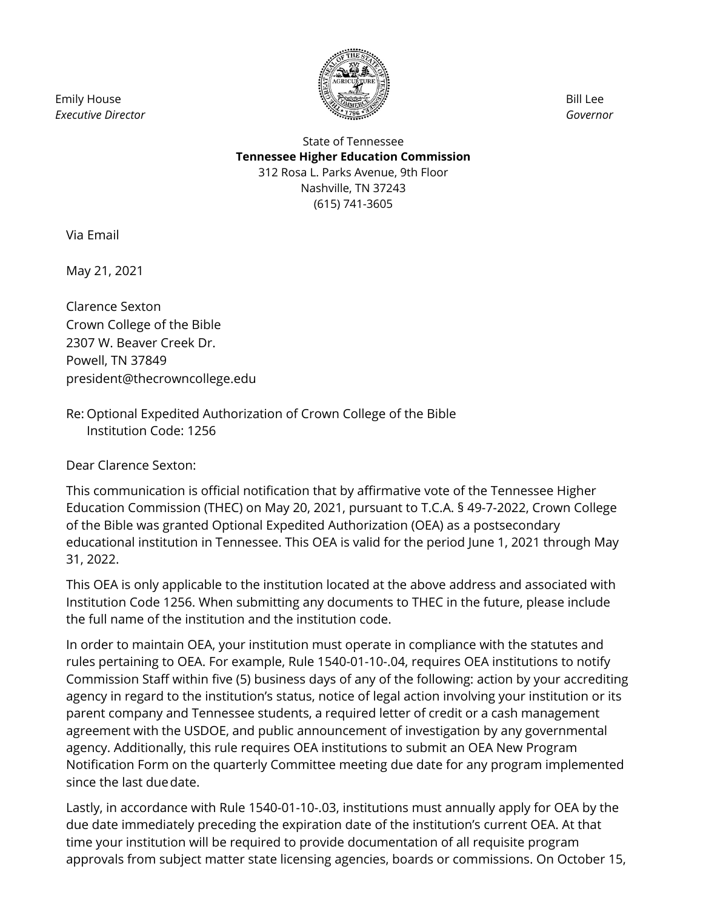Emily House *Executive Director*



Bill Lee *Governor*

## State of Tennessee **Tennessee Higher Education Commission** 312 Rosa L. Parks Avenue, 9th Floor Nashville, TN 37243 (615) 741-3605

Via Email

May 21, 2021

Clarence Sexton Crown College of the Bible 2307 W. Beaver Creek Dr. Powell, TN 37849 president@thecrowncollege.edu

Re: Optional Expedited Authorization of Crown College of the Bible Institution Code: 1256

Dear Clarence Sexton:

This communication is official notification that by affirmative vote of the Tennessee Higher Education Commission (THEC) on May 20, 2021, pursuant to T.C.A. § 49-7-2022, Crown College of the Bible was granted Optional Expedited Authorization (OEA) as a postsecondary educational institution in Tennessee. This OEA is valid for the period June 1, 2021 through May 31, 2022.

This OEA is only applicable to the institution located at the above address and associated with Institution Code 1256. When submitting any documents to THEC in the future, please include the full name of the institution and the institution code.

In order to maintain OEA, your institution must operate in compliance with the statutes and rules pertaining to OEA. For example, Rule 1540-01-10-.04, requires OEA institutions to notify Commission Staff within five (5) business days of any of the following: action by your accrediting agency in regard to the institution's status, notice of legal action involving your institution or its parent company and Tennessee students, a required letter of credit or a cash management agreement with the USDOE, and public announcement of investigation by any governmental agency. Additionally, this rule requires OEA institutions to submit an OEA New Program Notification Form on the quarterly Committee meeting due date for any program implemented since the last duedate.

Lastly, in accordance with Rule 1540-01-10-.03, institutions must annually apply for OEA by the due date immediately preceding the expiration date of the institution's current OEA. At that time your institution will be required to provide documentation of all requisite program approvals from subject matter state licensing agencies, boards or commissions. On October 15,